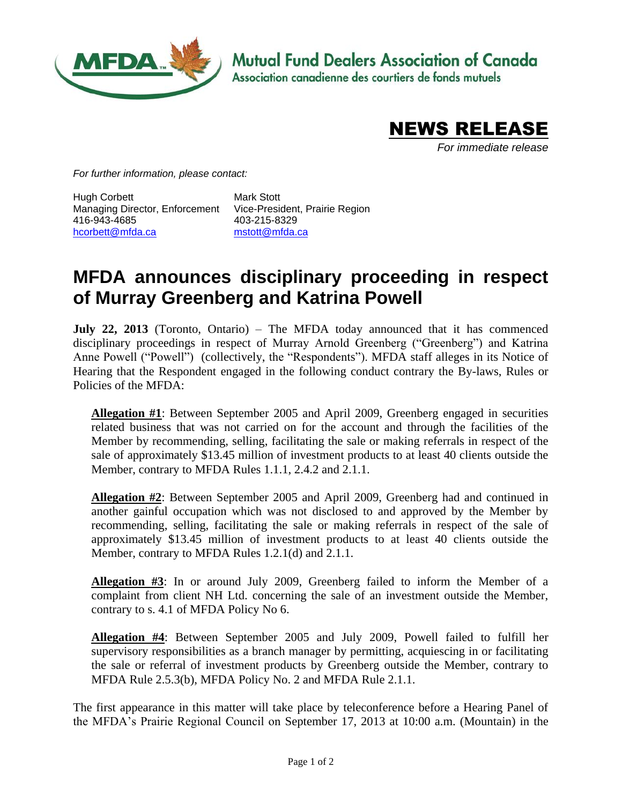

**Mutual Fund Dealers Association of Canada** 

Association canadienne des courtiers de fonds mutuels



*For immediate release*

*For further information, please contact:*

Hugh Corbett Managing Director, Enforcement Vice-President, Prairie Region 416-943-4685 [hcorbett@mfda.ca](mailto:hcorbett@mfda.ca)

Mark Stott 403-215-8329 [mstott@mfda.ca](mailto:mstott@mfda.ca)

## **MFDA announces disciplinary proceeding in respect of Murray Greenberg and Katrina Powell**

**July 22, 2013** (Toronto, Ontario) – The MFDA today announced that it has commenced disciplinary proceedings in respect of Murray Arnold Greenberg ("Greenberg") and Katrina Anne Powell ("Powell") (collectively, the "Respondents"). MFDA staff alleges in its Notice of Hearing that the Respondent engaged in the following conduct contrary the By-laws, Rules or Policies of the MFDA:

**Allegation #1**: Between September 2005 and April 2009, Greenberg engaged in securities related business that was not carried on for the account and through the facilities of the Member by recommending, selling, facilitating the sale or making referrals in respect of the sale of approximately \$13.45 million of investment products to at least 40 clients outside the Member, contrary to MFDA Rules 1.1.1, 2.4.2 and 2.1.1.

**Allegation #2**: Between September 2005 and April 2009, Greenberg had and continued in another gainful occupation which was not disclosed to and approved by the Member by recommending, selling, facilitating the sale or making referrals in respect of the sale of approximately \$13.45 million of investment products to at least 40 clients outside the Member, contrary to MFDA Rules 1.2.1(d) and 2.1.1.

**Allegation #3**: In or around July 2009, Greenberg failed to inform the Member of a complaint from client NH Ltd. concerning the sale of an investment outside the Member, contrary to s. 4.1 of MFDA Policy No 6.

**Allegation #4**: Between September 2005 and July 2009, Powell failed to fulfill her supervisory responsibilities as a branch manager by permitting, acquiescing in or facilitating the sale or referral of investment products by Greenberg outside the Member, contrary to MFDA Rule 2.5.3(b), MFDA Policy No. 2 and MFDA Rule 2.1.1.

The first appearance in this matter will take place by teleconference before a Hearing Panel of the MFDA's Prairie Regional Council on September 17, 2013 at 10:00 a.m. (Mountain) in the